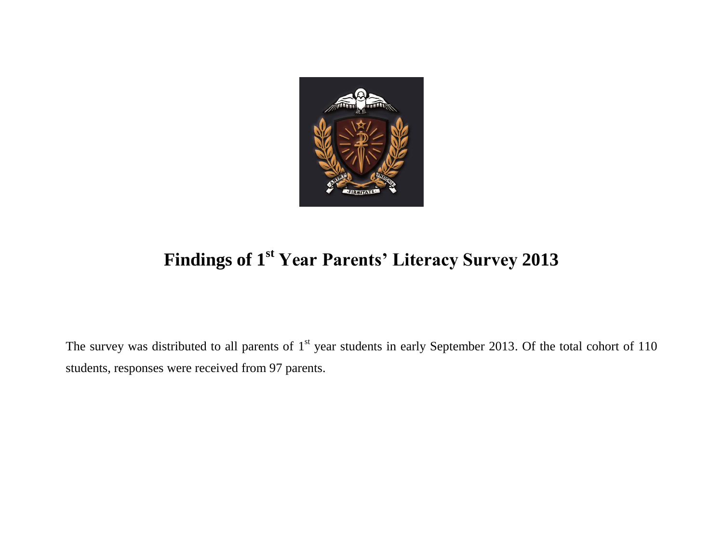

## **Findings of 1 st Year Parents' Literacy Survey 2013**

The survey was distributed to all parents of  $1<sup>st</sup>$  year students in early September 2013. Of the total cohort of 110 students, responses were received from 97 parents.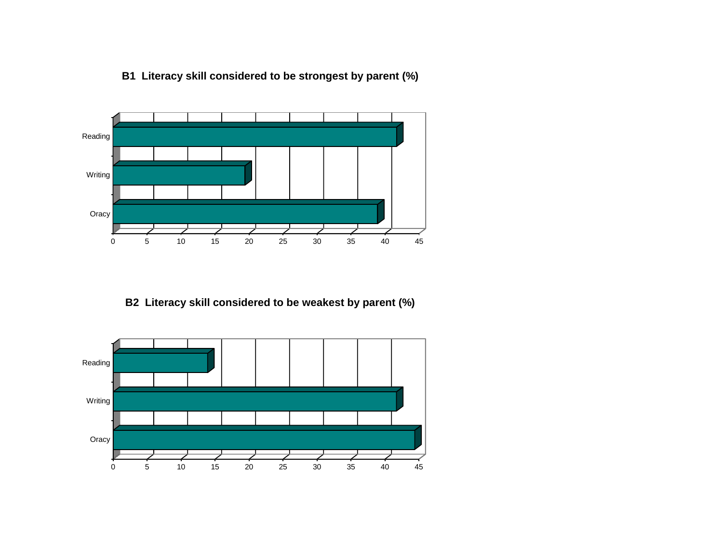



## **B2 Literacy skill considered to be weakest by parent (%)**

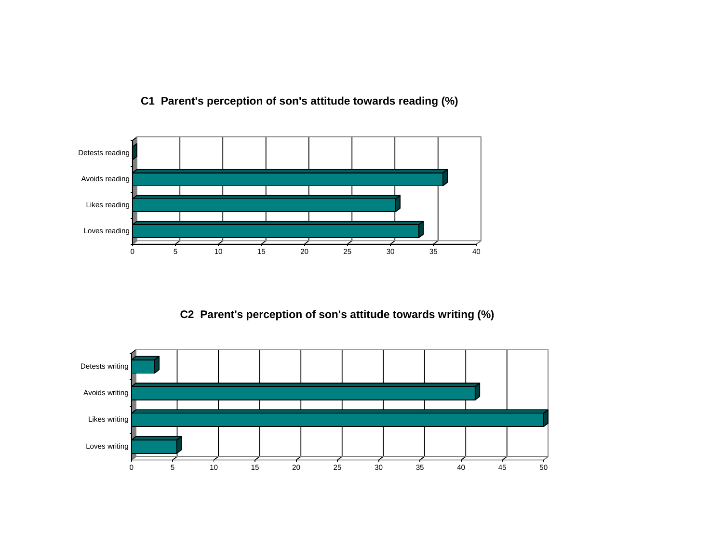

## **C1 Parent's perception of son's attitude towards reading (%)**

**C2 Parent's perception of son's attitude towards writing (%)**

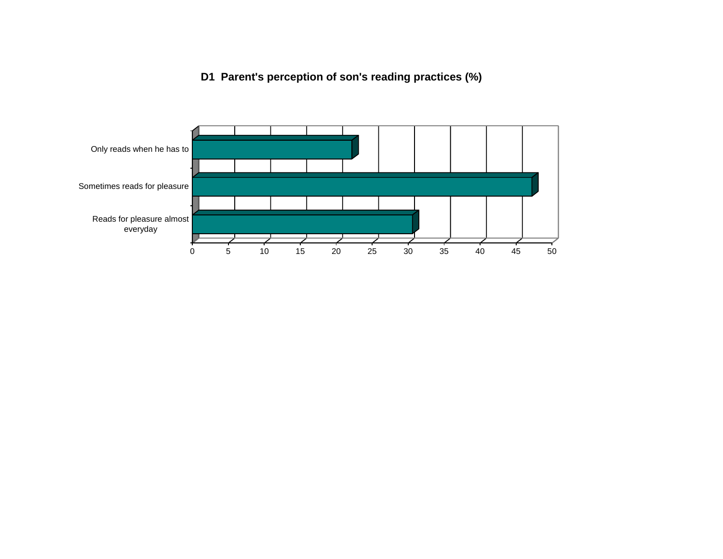## **D1 Parent's perception of son's reading practices (%)**

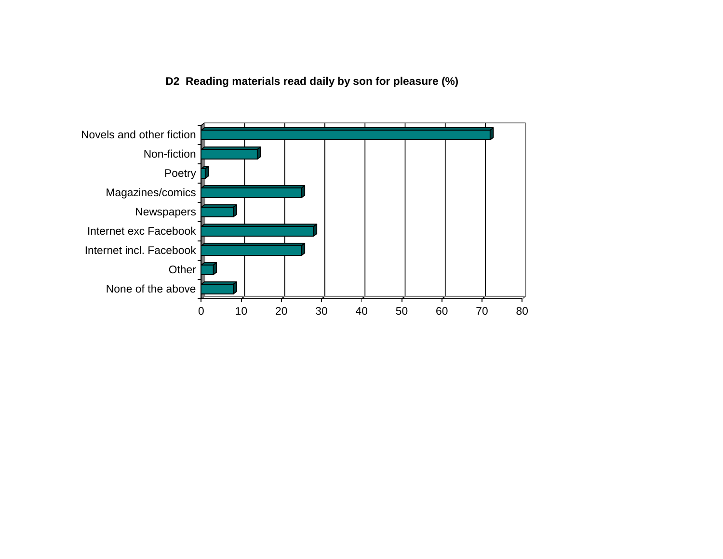**D2 Reading materials read daily by son for pleasure (%)**

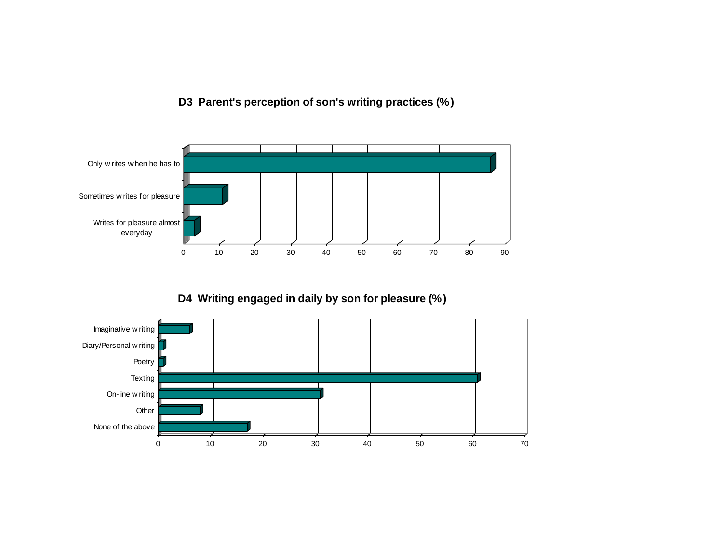**D3 Parent's perception of son's writing practices (%)**



**D4 Writing engaged in daily by son for pleasure (%)**